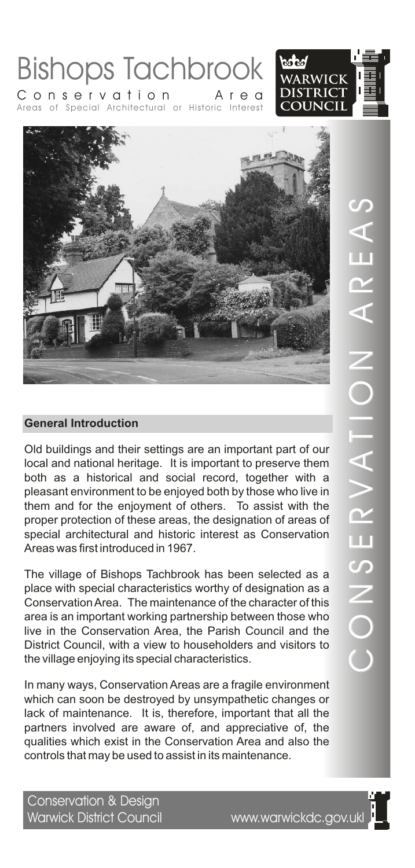



Areas of Special Architectural or Historic Interest Conservation Area

Old buildings and their settings are an important part of our local and national heritage. It is important to preserve them both as a historical and social record, together with a pleasant environment to be enjoyed both by those who live in them and for the enjoyment of others. To assist with the proper protection of these areas, the designation of areas of special architectural and historic interest as Conservation Areas was first introduced in 1967.

The village of Bishops Tachbrook has been selected as a place with special characteristics worthy of designation as a Conservation Area. The maintenance of the character of this area is an important working partnership between those who live in the Conservation Area, the Parish Council and the District Council, with a view to householders and visitors to the village enjoying its special characteristics.

In many ways, Conservation Areas are a fragile environment which can soon be destroyed by unsympathetic changes or lack of maintenance. It is, therefore, important that all the partners involved are aware of, and appreciative of, the qualities which exist in the Conservation Area and also the controls that may be used to assist in its maintenance.

Conservation & Design Warwick District Council www.warwickdc.gov.ukl

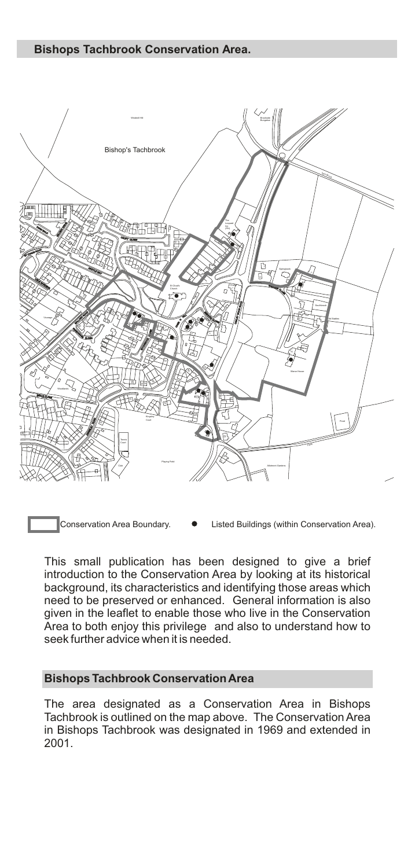

Conservation Area Boundary. Listed Buildings (within Conservation Area).

This small publication has been designed to give a brief introduction to the Conservation Area by looking at its historical background, its characteristics and identifying those areas which need to be preserved or enhanced. General information is also given in the leaflet to enable those who live in the Conservation Area to both enjoy this privilege and also to understand how to seek further advice when it is needed.

# **Bishops Tachbrook Conservation Area**

The area designated as a Conservation Area in Bishops Tachbrook is outlined on the map above. The Conservation Area in Bishops Tachbrook was designated in 1969 and extended in 2001.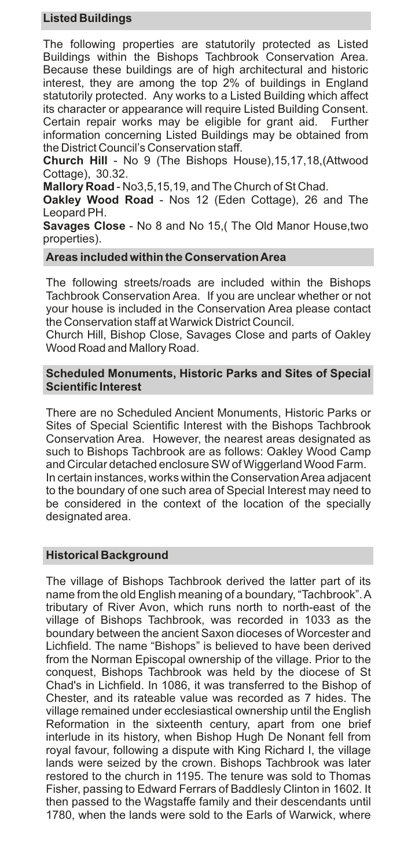# **Listed Buildings**

The following properties are statutorily protected as Listed Buildings within the Bishops Tachbrook Conservation Area. Because these buildings are of high architectural and historic interest, they are among the top 2% of buildings in England statutorily protected. Any works to a Listed Building which affect its character or appearance will require Listed Building Consent. Certain repair works may be eligible for grant aid. Further information concerning Listed Buildings may be obtained from the District Council's Conservation staff.

**Church Hill** - No 9 (The Bishops House),15,17,18,(Attwood Cottage), 30.32.

**Mallory Road** - No3,5,15,19, and The Church of St Chad.

**Oakley Wood Road** - Nos 12 (Eden Cottage), 26 and The Leopard PH.

**Savages Close** - No 8 and No 15,( The Old Manor House,two properties).

### **Areas included within the Conservation Area**

The following streets/roads are included within the Bishops Tachbrook Conservation Area. If you are unclear whether or not your house is included in the Conservation Area please contact the Conservation staff at Warwick District Council.

Church Hill, Bishop Close, Savages Close and parts of Oakley Wood Road and Mallory Road.

#### **Scheduled Monuments, Historic Parks and Sites of Special Scientific Interest**

There are no Scheduled Ancient Monuments, Historic Parks or Sites of Special Scientific Interest with the Bishops Tachbrook Conservation Area. However, the nearest areas designated as such to Bishops Tachbrook are as follows: Oakley Wood Camp and Circular detached enclosure SW of Wiggerland Wood Farm. In certain instances, works within the Conservation Area adjacent to the boundary of one such area of Special Interest may need to be considered in the context of the location of the specially designated area.

# **Historical Background**

The village of Bishops Tachbrook derived the latter part of its name from the old English meaning of a boundary, "Tachbrook". A tributary of River Avon, which runs north to north-east of the village of Bishops Tachbrook, was recorded in 1033 as the boundary between the ancient Saxon dioceses of Worcester and Lichfield. The name "Bishops" is believed to have been derived from the Norman Episcopal ownership of the village. Prior to the conquest, Bishops Tachbrook was held by the diocese of St Chad's in Lichfield. In 1086, it was transferred to the Bishop of Chester, and its rateable value was recorded as 7 hides. The village remained under ecclesiastical ownership until the English Reformation in the sixteenth century, apart from one brief interlude in its history, when Bishop Hugh De Nonant fell from royal favour, following a dispute with King Richard I, the village lands were seized by the crown. Bishops Tachbrook was later restored to the church in 1195. The tenure was sold to Thomas Fisher, passing to Edward Ferrars of Baddlesly Clinton in 1602. It then passed to the Wagstaffe family and their descendants until 1780, when the lands were sold to the Earls of Warwick, where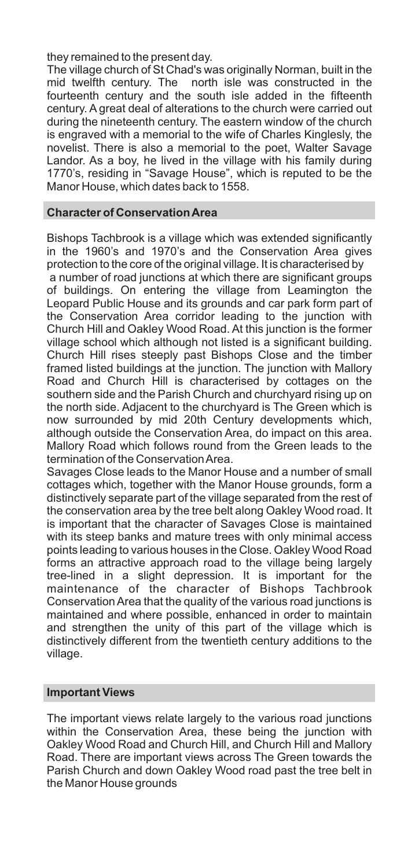they remained to the present day.

The village church of St Chad's was originally Norman, built in the mid twelfth century. The north isle was constructed in the fourteenth century and the south isle added in the fifteenth century. A great deal of alterations to the church were carried out during the nineteenth century. The eastern window of the church is engraved with a memorial to the wife of Charles Kinglesly, the novelist. There is also a memorial to the poet, Walter Savage Landor. As a boy, he lived in the village with his family during 1770's, residing in "Savage House", which is reputed to be the Manor House, which dates back to 1558.

#### **Character of Conservation Area**

Bishops Tachbrook is a village which was extended significantly in the 1960's and 1970's and the Conservation Area gives protection to the core of the original village. It is characterised by a number of road junctions at which there are significant groups of buildings. On entering the village from Leamington the Leopard Public House and its grounds and car park form part of the Conservation Area corridor leading to the junction with Church Hill and Oakley Wood Road. At this junction is the former village school which although not listed is a significant building. Church Hill rises steeply past Bishops Close and the timber framed listed buildings at the junction. The junction with Mallory Road and Church Hill is characterised by cottages on the southern side and the Parish Church and churchyard rising up on the north side. Adjacent to the churchyard is The Green which is now surrounded by mid 20th Century developments which, although outside the Conservation Area, do impact on this area. Mallory Road which follows round from the Green leads to the termination of the Conservation Area.

Savages Close leads to the Manor House and a number of small cottages which, together with the Manor House grounds, form a distinctively separate part of the village separated from the rest of the conservation area by the tree belt along Oakley Wood road. It is important that the character of Savages Close is maintained with its steep banks and mature trees with only minimal access points leading to various houses in the Close. Oakley Wood Road forms an attractive approach road to the village being largely tree-lined in a slight depression. It is important for the maintenance of the character of Bishops Tachbrook Conservation Area that the quality of the various road junctions is maintained and where possible, enhanced in order to maintain and strengthen the unity of this part of the village which is distinctively different from the twentieth century additions to the village.

#### **Important Views**

The important views relate largely to the various road junctions within the Conservation Area, these being the junction with Oakley Wood Road and Church Hill, and Church Hill and Mallory Road. There are important views across The Green towards the Parish Church and down Oakley Wood road past the tree belt in the Manor House grounds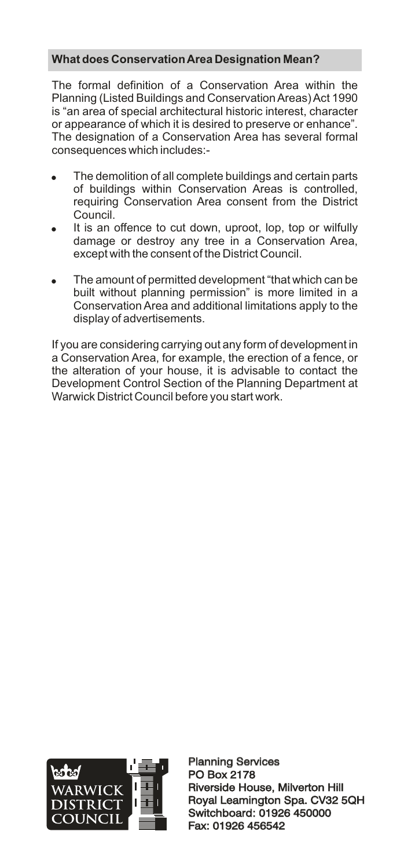# **What does Conservation Area Designation Mean?**

The formal definition of a Conservation Area within the Planning (Listed Buildings and Conservation Areas) Act 1990 is "an area of special architectural historic interest, character or appearance of which it is desired to preserve or enhance". The designation of a Conservation Area has several formal consequences which includes:-

- ! The demolition of all complete buildings and certain parts of buildings within Conservation Areas is controlled, requiring Conservation Area consent from the District Council<sup>-</sup>
- It is an offence to cut down, uproot, lop, top or wilfully damage or destroy any tree in a Conservation Area, except with the consent of the District Council.
- ! The amount of permitted development "that which can be built without planning permission" is more limited in a Conservation Area and additional limitations apply to the display of advertisements.

If you are considering carrying out any form of development in a Conservation Area, for example, the erection of a fence, or the alteration of your house, it is advisable to contact the Development Control Section of the Planning Department at Warwick District Council before you start work.



Planning Services PO Box 2178 Planning Services<br>PO Box 2178<br>Riverside House, Milverton Hill Royal Leamington Spa. CV32 5QH Switchboard: 01926 450000 Fax: 01926 456542 Royal Leamington Spa. CV32<br>Switchboard: 01926 450000<br>Fax: 01926 456542